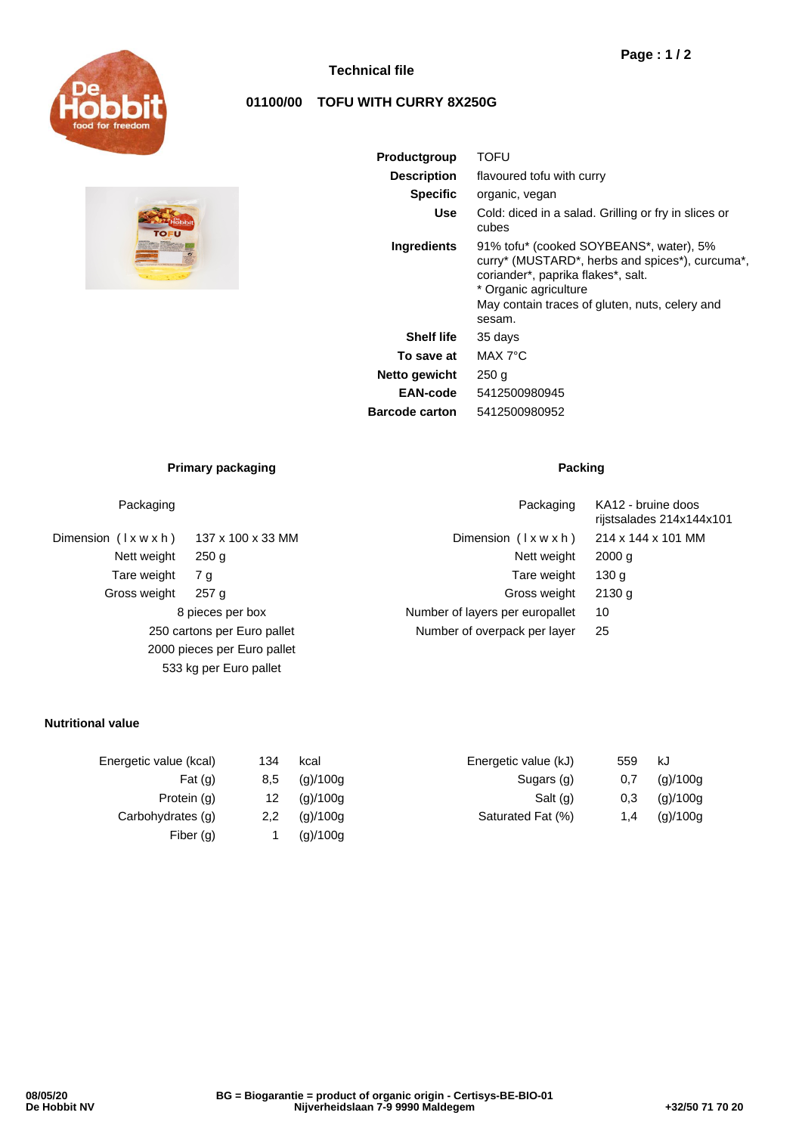



## **Technical file**

# **01100/00 TOFU WITH CURRY 8X250G**

| Productgroup          | TOFU                                                                                                                                                                                                                  |  |  |  |  |
|-----------------------|-----------------------------------------------------------------------------------------------------------------------------------------------------------------------------------------------------------------------|--|--|--|--|
| <b>Description</b>    | flavoured tofu with curry                                                                                                                                                                                             |  |  |  |  |
| <b>Specific</b>       | organic, vegan                                                                                                                                                                                                        |  |  |  |  |
| <b>Use</b>            | Cold: diced in a salad. Grilling or fry in slices or<br>cubes                                                                                                                                                         |  |  |  |  |
| Ingredients           | 91% tofu* (cooked SOYBEANS*, water), 5%<br>curry* (MUSTARD*, herbs and spices*), curcuma*,<br>coriander*, paprika flakes*, salt.<br>* Organic agriculture<br>May contain traces of gluten, nuts, celery and<br>sesam. |  |  |  |  |
| <b>Shelf life</b>     | 35 days                                                                                                                                                                                                               |  |  |  |  |
| To save at            | MAX 7°C                                                                                                                                                                                                               |  |  |  |  |
| Netto gewicht         | 250 g                                                                                                                                                                                                                 |  |  |  |  |
| EAN-code              | 5412500980945                                                                                                                                                                                                         |  |  |  |  |
| <b>Barcode carton</b> | 5412500980952                                                                                                                                                                                                         |  |  |  |  |

## **Primary packaging Packing Packing**

## Packaging **Packaging COVID-10** Packaging KA12 - bruine doos

Dimension ( l x w x h ) 137 x 100 x 33 MM Dimension ( l x w x h ) 214 x 144 x 101 MM Nett weight 250 g Nett weight 2000 g Nett weight 2000 g Tare weight 7 g and 130 g and 130 g and 130 g and 130 g and 130 g and 130 g and 130 g and 130 g and 130 g and 130 g Gross weight 257 g Gross weight 2130 g 8 pieces per box Number of layers per europallet 10 250 cartons per Euro pallet Number of overpack per layer 25 2000 pieces per Euro pallet 533 kg per Euro pallet

## **Nutritional value**

| 134 | kcal     | Energetic value (kJ) | 559 | kJ       |
|-----|----------|----------------------|-----|----------|
| 8,5 | (q)/100q | Sugars (g)           | 0.7 | (g)/100g |
| 12  | (g)/100g | Salt (g)             | 0,3 | (g)/100g |
| 2,2 | (g)/100g | Saturated Fat (%)    | 1.4 | (g)/100g |
|     | (g)/100g |                      |     |          |
|     |          |                      |     |          |

rijstsalades 214x144x101